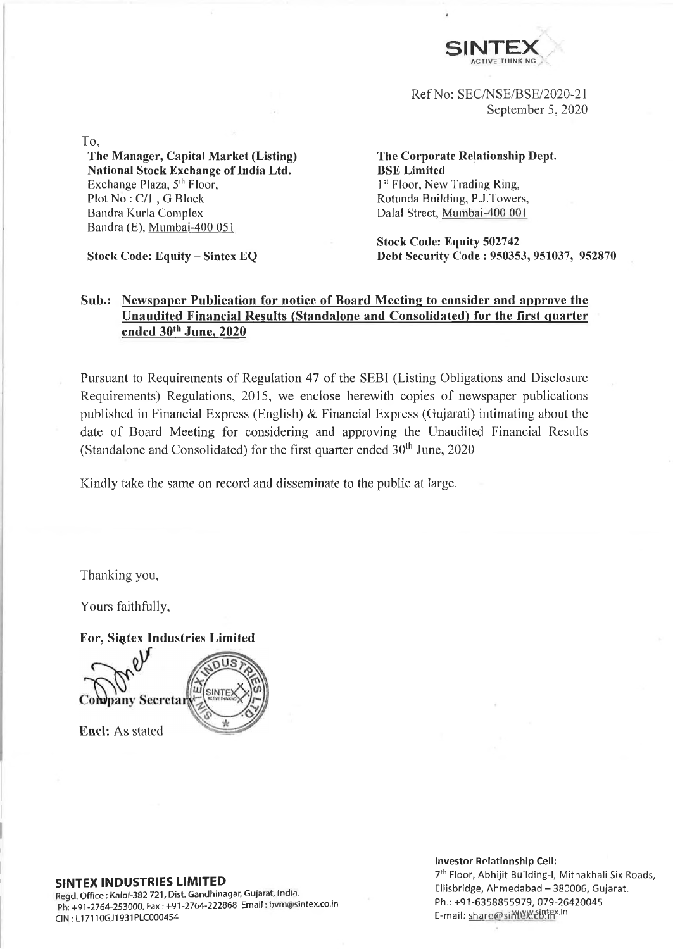

Ref No: SEC/NSE/BSE/2020-21 September 5, 2020

To,

**The Manager, Capital Market (Listing) National Stock Exchange of India Ltd.** Exchange Plaza,  $5<sup>th</sup>$  Floor, Plot No : C/l , G Block Bandra Kurla Complex Bandra (E), Mumbai-400 051

**Stock Code: Equity - Sintex EQ**

**The Corporate Relationship Dept. BSE Limited** 1<sup>st</sup> Floor, New Trading Ring, Rotunda Building, P.J.Towers, Dalai Street, Mumbai-400 001

**Stock Code: Equity 502742 Debt Security Code : 950353, 951037, 952870**

## **Sub.: Newspaper Publication for notice of Board Meeting to consider and approve the Unaudited Financial Results (Standalone and Consolidated) for the first quarter ended 30th June, 2020**

Pursuant to Requirements of Regulation 47 of the SEBI (Listing Obligations and Disclosure Requirements) Regulations, 2015, we enclose herewith copies of newspaper publications published in Financial Express (English) & Financial Express (Gujarati) intimating about the date of Board Meeting for considering and approving the Unaudited Financial Results (Standalone and Consolidated) for the first quarter ended  $30<sup>th</sup>$  June, 2020

Kindly take the same on record and disseminate to the public at large.

Thanking you,

Yours faithfully,

**For, Sintex Industries Limited** 



## **SINTEX INDUSTRIES LIMITED**

Regd. Office: Kalol-382 721, Dist. Gandhinagar, Gujarat, India. Ph: +91 -2764-253000, Fax: +91-2764-222868 Email: [bvm@sintex.co.in](mailto:bvm@sintex.co.in) CIN : LI 7110GJ1931PLC000454

### **Investor Relationship Cell:**

7th Floor, Abhijit Building-I, Mithakhali Six Roads, Ellisbridge, Ahmedabad - 380006, Gujarat. Ph.: +91-6358855979, 079-26420045 E-mail: share@sim W. Uniter. In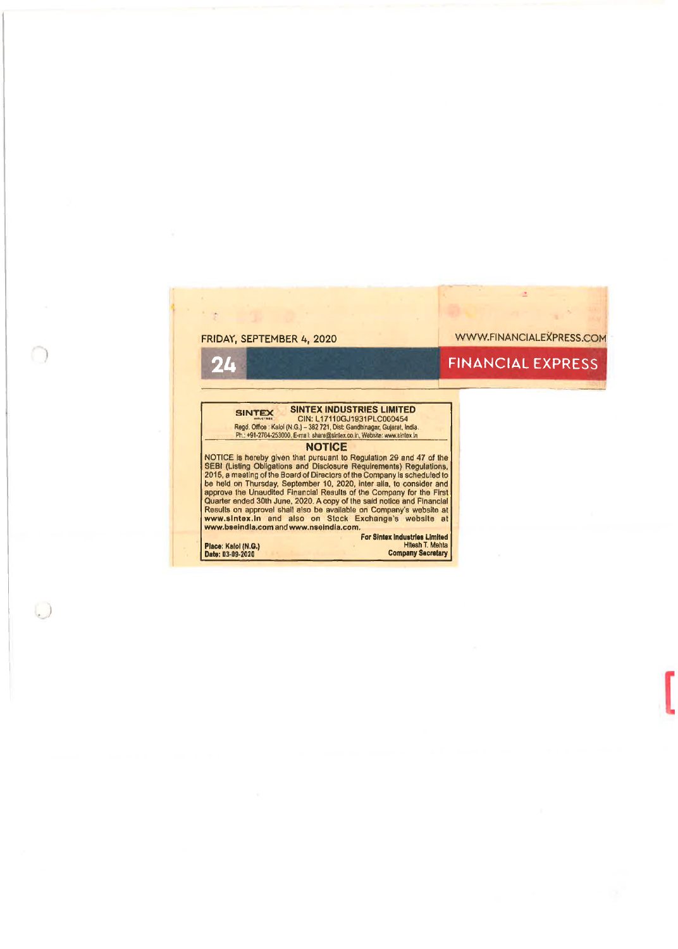FRIDAY, SEPTEMBER 4, 2020 WWW.FINANCIALEXPRESS.COM

 $\Delta$ 

## 24 FINANCIAL EXPRESS

SINTEX SINTEX INDUSTRIES LIMITED<br>
CIN: L17110GJ1931PLC000454<br>
Regd. Office : Kalol (N.G.) - 382 721, Dist Gandhinegar, Gujarat, India.<br>
Ph: +91-2784-253000, E-mail: share@skriex.co.in, Webske: www.sinlox.in

## **NOTICE**

NOTICE is hereby given that pursuant to Regulation 29 and 47 of the<br>SEBI (Listing Obligations and Disclosure Requirements) Regulations,<br>2015, a meeting of the Board of Directors of the Company is scheduled to<br>be held on Th

 $\cup$ 

 $\overline{z}$ 

# **ForSintex Industries Limited Place:** Kalol **(N.G.)** Hltesh T. Mehta **Date: 03-09-2020 Company Secretary**